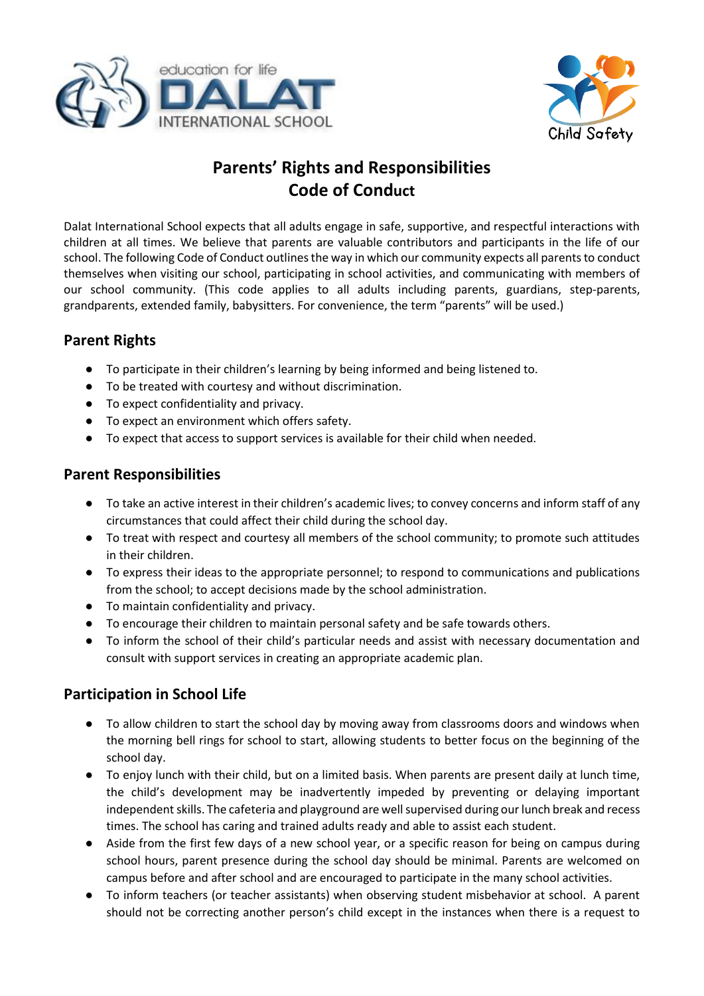



# **Parents' Rights and Responsibilities Code of Conduct**

Dalat International School expects that all adults engage in safe, supportive, and respectful interactions with children at all times. We believe that parents are valuable contributors and participants in the life of our school. The following Code of Conduct outlines the way in which our community expects all parents to conduct themselves when visiting our school, participating in school activities, and communicating with members of our school community. (This code applies to all adults including parents, guardians, step-parents, grandparents, extended family, babysitters. For convenience, the term "parents" will be used.)

### **Parent Rights**

- To participate in their children's learning by being informed and being listened to.
- To be treated with courtesy and without discrimination.
- To expect confidentiality and privacy.
- To expect an environment which offers safety.
- To expect that access to support services is available for their child when needed.

#### **Parent Responsibilities**

- To take an active interest in their children's academic lives; to convey concerns and inform staff of any circumstances that could affect their child during the school day.
- To treat with respect and courtesy all members of the school community; to promote such attitudes in their children.
- To express their ideas to the appropriate personnel; to respond to communications and publications from the school; to accept decisions made by the school administration.
- To maintain confidentiality and privacy.
- To encourage their children to maintain personal safety and be safe towards others.
- To inform the school of their child's particular needs and assist with necessary documentation and consult with support services in creating an appropriate academic plan.

## **Participation in School Life**

- To allow children to start the school day by moving away from classrooms doors and windows when the morning bell rings for school to start, allowing students to better focus on the beginning of the school day.
- To enjoy lunch with their child, but on a limited basis. When parents are present daily at lunch time, the child's development may be inadvertently impeded by preventing or delaying important independent skills. The cafeteria and playground are well supervised during our lunch break and recess times. The school has caring and trained adults ready and able to assist each student.
- Aside from the first few days of a new school year, or a specific reason for being on campus during school hours, parent presence during the school day should be minimal. Parents are welcomed on campus before and after school and are encouraged to participate in the many school activities.
- To inform teachers (or teacher assistants) when observing student misbehavior at school. A parent should not be correcting another person's child except in the instances when there is a request to